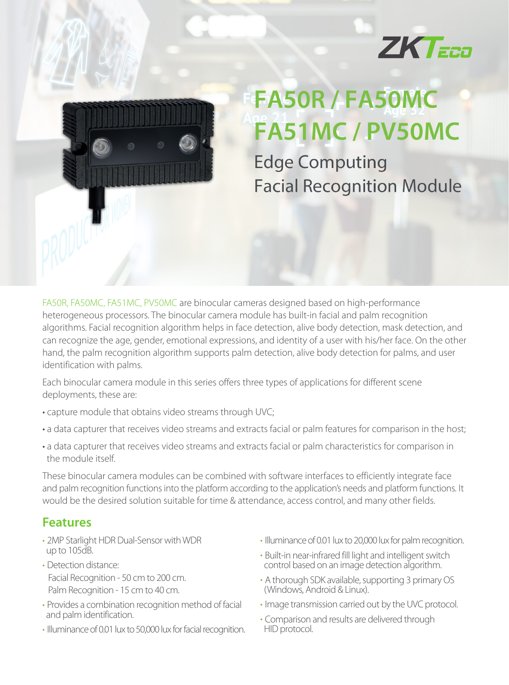



## **FA50R/FA50MC FA51MC/PV50MC**

**Edge Computing Facial Recognition Module** 

FA50R, FA50MC, FA51MC, PV50MC are binocular cameras designed based on high-performance heterogeneous processors. The binocular camera module has built-in facial and palm recognition algorithms. Facial recognition algorithm helps in face detection, alive body detection, mask detection, and can recognize the age, gender, emotional expressions, and identity of a user with his/her face. On the other hand, the palm recognition algorithm supports palm detection, alive body detection for palms, and user identification with palms.

Each binocular camera module in this series offers three types of applications for different scene deployments, these are:

- **·** capture module that obtains video streams through UVC;
- **·** a data capturer that receives video streams and extracts facial or palm features for comparison in the host;
- **·** a data capturer that receives video streams and extracts facial or palm characteristics for comparison in the module itself.

These binocular camera modules can be combined with software interfaces to efficiently integrate face and palm recognition functions into the platform according to the application's needs and platform functions. It would be the desired solution suitable for time & attendance, access control, and many other fields.

## **Features**

- 2MP Starlight HDR Dual-Sensor with WDR up to 105dB.
- Detection distance: Facial Recognition - 50 cm to 200 cm. Palm Recognition - 15 cm to 40 cm.
- Provides a combination recognition method of facial and palm identification.
- Illuminance of 0.01 lux to 50,000 lux for facial recognition.
- Illuminance of 0.01 lux to 20,000 lux for palm recognition.
- Built-in near-infrared fill light and intelligent switch control based on an image detection algorithm.
- A thorough SDK available, supporting 3 primary OS (Windows, Android & Linux).
- Image transmission carried out by the UVC protocol.
- Comparison and results are delivered through HID protocol.